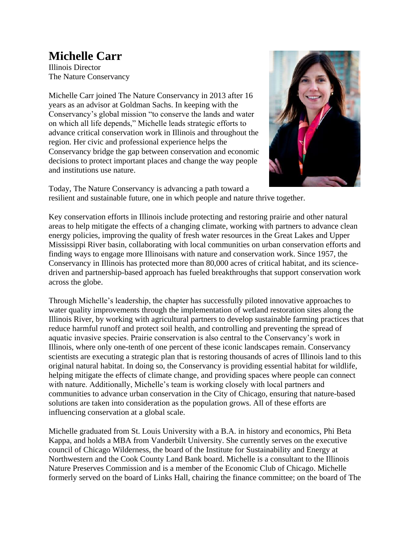## **Michelle Carr**

Illinois Director The Nature Conservancy

Michelle Carr joined The Nature Conservancy in 2013 after 16 years as an advisor at Goldman Sachs. In keeping with the Conservancy's global mission "to conserve the lands and water on which all life depends," Michelle leads strategic efforts to advance critical conservation work in Illinois and throughout the region. Her civic and professional experience helps the Conservancy bridge the gap between conservation and economic decisions to protect important places and change the way people and institutions use nature.



Today, The Nature Conservancy is advancing a path toward a resilient and sustainable future, one in which people and nature thrive together.

Key conservation efforts in Illinois include protecting and restoring prairie and other natural areas to help mitigate the effects of a changing climate, working with partners to advance clean energy policies, improving the quality of fresh water resources in the Great Lakes and Upper Mississippi River basin, collaborating with local communities on urban conservation efforts and finding ways to engage more Illinoisans with nature and conservation work. Since 1957, the Conservancy in Illinois has protected more than 80,000 acres of critical habitat, and its sciencedriven and partnership-based approach has fueled breakthroughs that support conservation work across the globe.

Through Michelle's leadership, the chapter has successfully piloted innovative approaches to water quality improvements through the implementation of wetland restoration sites along the Illinois River, by working with agricultural partners to develop sustainable farming practices that reduce harmful runoff and protect soil health, and controlling and preventing the spread of aquatic invasive species. Prairie conservation is also central to the Conservancy's work in Illinois, where only one-tenth of one percent of these iconic landscapes remain. Conservancy scientists are executing a strategic plan that is restoring thousands of acres of Illinois land to this original natural habitat. In doing so, the Conservancy is providing essential habitat for wildlife, helping mitigate the effects of climate change, and providing spaces where people can connect with nature. Additionally, Michelle's team is working closely with local partners and communities to advance urban conservation in the City of Chicago, ensuring that nature-based solutions are taken into consideration as the population grows. All of these efforts are influencing conservation at a global scale.

Michelle graduated from St. Louis University with a B.A. in history and economics, Phi Beta Kappa, and holds a MBA from Vanderbilt University. She currently serves on the executive council of Chicago Wilderness, the board of the Institute for Sustainability and Energy at Northwestern and the Cook County Land Bank board. Michelle is a consultant to the Illinois Nature Preserves Commission and is a member of the Economic Club of Chicago. Michelle formerly served on the board of Links Hall, chairing the finance committee; on the board of The